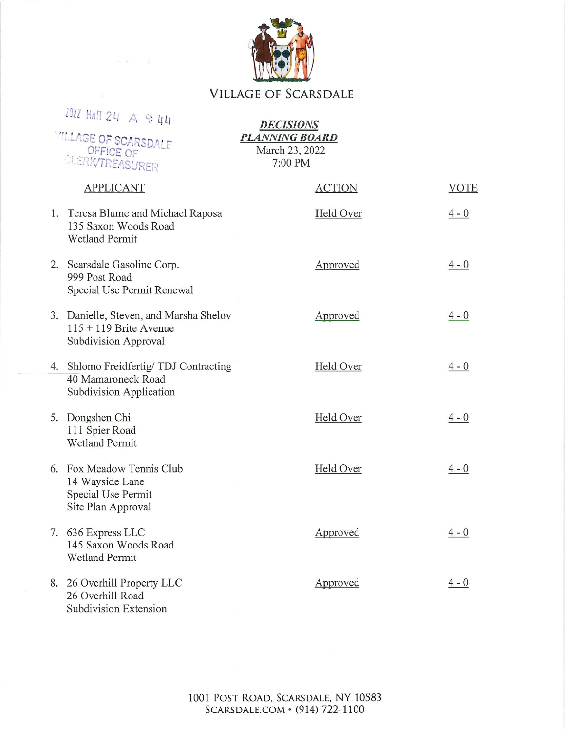## **VILLAGE OF SCARSDALE**

| ZO22 MAR 24 A 9:44<br><b><i>MILLAGE OF SCARSDALE</i></b><br>OFFICE OF<br>CLERK/TREASURER   | <b>DECISIONS</b><br><b>PLANNING BOARD</b><br>March 23, 2022<br>7:00 PM |                 |
|--------------------------------------------------------------------------------------------|------------------------------------------------------------------------|-----------------|
| <b>APPLICANT</b>                                                                           | <b>ACTION</b>                                                          | <b>VOTE</b>     |
| 1. Teresa Blume and Michael Raposa<br>135 Saxon Woods Road<br><b>Wetland Permit</b>        | Held Over                                                              | $\frac{4-0}{2}$ |
| 2. Scarsdale Gasoline Corp.<br>999 Post Road<br>Special Use Permit Renewal                 | Approved                                                               | $4 - 0$         |
| 3. Danielle, Steven, and Marsha Shelov<br>$115 + 119$ Brite Avenue<br>Subdivision Approval | Approved                                                               | $4 - 0$         |
| 4. Shlomo Freidfertig/TDJ Contracting<br>40 Mamaroneck Road<br>Subdivision Application     | Held Over                                                              | $4 - 0$         |
| 5. Dongshen Chi<br>111 Spier Road<br><b>Wetland Permit</b>                                 | Held Over                                                              | $4 - 0$         |
| 6. Fox Meadow Tennis Club<br>14 Wayside Lane<br>Special Use Permit<br>Site Plan Approval   | Held Over                                                              | $\frac{4-0}{2}$ |
| 7. 636 Express LLC<br>145 Saxon Woods Road<br><b>Wetland Permit</b>                        | Approved                                                               | $4 - 0$         |
| 8. 26 Overhill Property LLC<br>26 Overhill Road<br>Subdivision Extension                   | Approved                                                               | $4 - 0$         |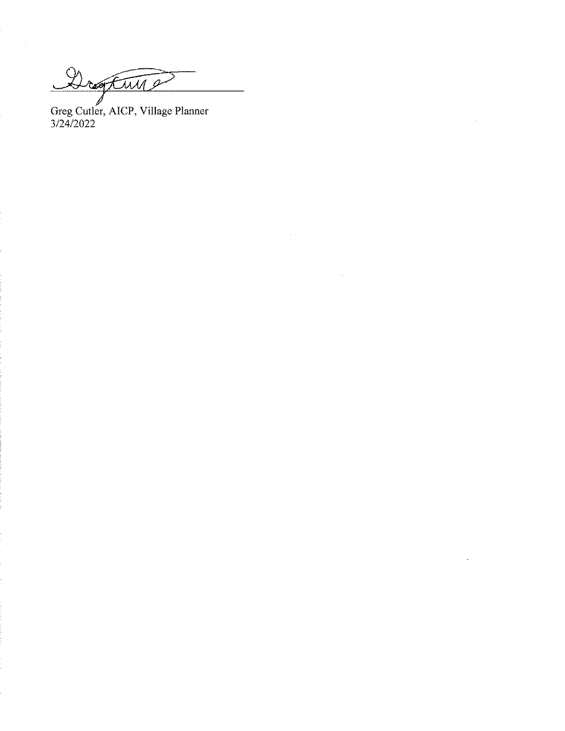Drogtwy

Greg Cutler, AICP, Village Planner<br>3/24/2022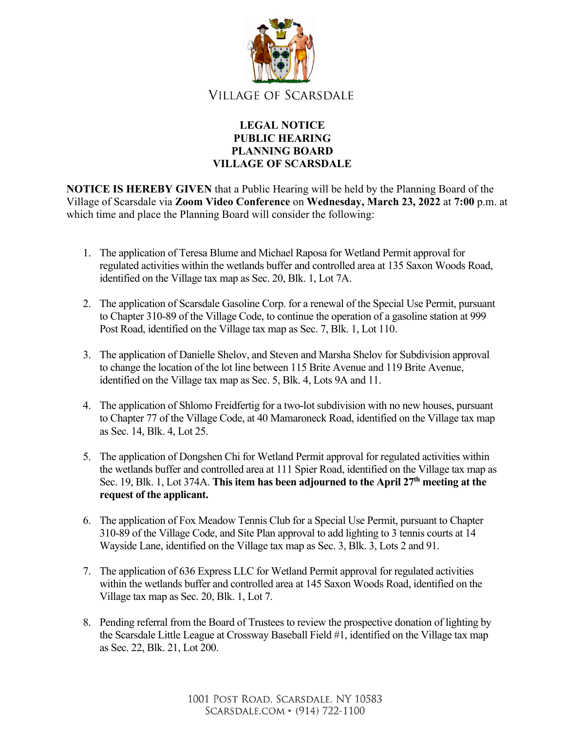

## **LEGAL NOTICE PUBLIC HEARING PLANNING BOARD VILLAGE OF SCARSDALE**

**NOTICE IS HEREBY GIVEN** that a Public Hearing will be held by the Planning Board of the Village of Scarsdale via **Zoom Video Conference** on **Wednesday, March 23, 2022** at **7:00** p.m. at which time and place the Planning Board will consider the following:

- 1. The application of Teresa Blume and Michael Raposa for Wetland Permit approval for regulated activities within the wetlands buffer and controlled area at 135 Saxon Woods Road, identified on the Village tax map as Sec. 20, Blk. 1, Lot 7A.
- 2. The application of Scarsdale Gasoline Corp. for a renewal of the Special Use Permit, pursuant to Chapter 310-89 of the Village Code, to continue the operation of a gasoline station at 999 Post Road, identified on the Village tax map as Sec. 7, Blk. 1, Lot 110.
- 3. The application of Danielle Shelov, and Steven and Marsha Shelov for Subdivision approval to change the location of the lot line between 115 Brite Avenue and 119 Brite Avenue, identified on the Village tax map as Sec. 5, Blk. 4, Lots 9A and 11.
- 4. The application of Shlomo Freidfertig for a two-lot subdivision with no new houses, pursuant to Chapter 77 of the Village Code, at 40 Mamaroneck Road, identified on the Village tax map as Sec. 14, Blk. 4, Lot 25.
- 5. The application of Dongshen Chi for Wetland Permit approval for regulated activities within the wetlands buffer and controlled area at 111 Spier Road, identified on the Village tax map as Sec. 19, Blk. 1, Lot 374A. **This item has been adjourned to the April 27th meeting at the request of the applicant.**
- 6. The application of Fox Meadow Tennis Club for a Special Use Permit, pursuant to Chapter 310-89 of the Village Code, and Site Plan approval to add lighting to 3 tennis courts at 14 Wayside Lane, identified on the Village tax map as Sec. 3, Blk. 3, Lots 2 and 91.
- 7. The application of 636 Express LLC for Wetland Permit approval for regulated activities within the wetlands buffer and controlled area at 145 Saxon Woods Road, identified on the Village tax map as Sec. 20, Blk. 1, Lot 7.
- 8. Pending referral from the Board of Trustees to review the prospective donation of lighting by the Scarsdale Little League at Crossway Baseball Field #1, identified on the Village tax map as Sec. 22, Blk. 21, Lot 200.

1001 POST ROAD, SCARSDALE, NY 10583 SCARSDALE.COM • (914) 722-1100